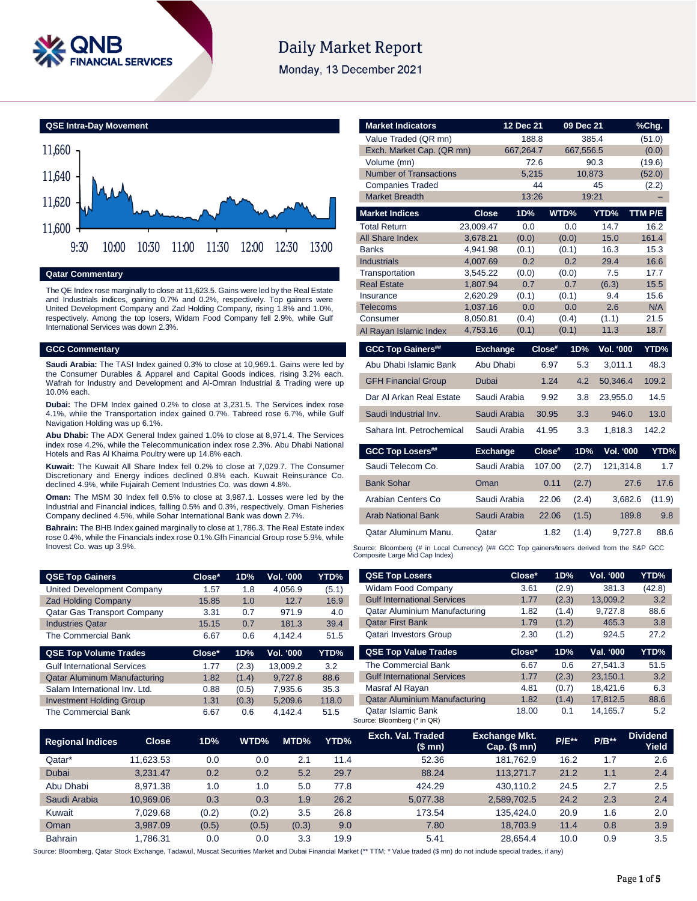

# **Daily Market Report**

Monday, 13 December 2021



**Qatar Commentary**

The QE Index rose marginally to close at 11,623.5. Gains were led by the Real Estate and Industrials indices, gaining 0.7% and 0.2%, respectively. Top gainers were United Development Company and Zad Holding Company, rising 1.8% and 1.0%, respectively. Among the top losers, Widam Food Company fell 2.9%, while Gulf International Services was down 2.3%.

# **GCC Commentary**

**Saudi Arabia:** The TASI Index gained 0.3% to close at 10,969.1. Gains were led by the Consumer Durables & Apparel and Capital Goods indices, rising 3.2% each. Wafrah for Industry and Development and Al-Omran Industrial & Trading were up 10.0% each.

**Dubai:** The DFM Index gained 0.2% to close at 3,231.5. The Services index rose 4.1%, while the Transportation index gained 0.7%. Tabreed rose 6.7%, while Gulf Navigation Holding was up 6.1%.

**Abu Dhabi:** The ADX General Index gained 1.0% to close at 8,971.4. The Services index rose 4.2%, while the Telecommunication index rose 2.3%. Abu Dhabi National Hotels and Ras Al Khaima Poultry were up 14.8% each.

**Kuwait:** The Kuwait All Share Index fell 0.2% to close at 7,029.7. The Consumer Discretionary and Energy indices declined 0.8% each. Kuwait Reinsurance Co. declined 4.9%, while Fujairah Cement Industries Co. was down 4.8%.

**Oman:** The MSM 30 Index fell 0.5% to close at 3,987.1. Losses were led by the Industrial and Financial indices, falling 0.5% and 0.3%, respectively. Oman Fisheries Company declined 4.5%, while Sohar International Bank was down 2.7%.

**Bahrain:** The BHB Index gained marginally to close at 1,786.3. The Real Estate index rose 0.4%, while the Financials index rose 0.1%.Gfh Financial Group rose 5.9%, while Inovest Co. was up 3.9%.

| <b>QSE Top Gainers</b>             | $Close*$ | 1D% | Vol. '000 | YTD%  |
|------------------------------------|----------|-----|-----------|-------|
| United Development Company         | 1.57     | 1.8 | 4,056.9   | (5.1) |
| <b>Zad Holding Company</b>         | 15.85    | 1.0 | 12.7      | 16.9  |
| <b>Qatar Gas Transport Company</b> | 3.31     | 0.7 | 971.9     | 4.0   |
| <b>Industries Qatar</b>            | 15.15    | 0.7 | 181.3     | 39.4  |
| The Commercial Bank                | 6.67     | 0.6 | 4.142.4   | 51.5  |

| <b>QSE Top Volume Trades</b>        | $Close^*$ | 1D%   | <b>Vol. '000</b> | YTD%  |
|-------------------------------------|-----------|-------|------------------|-------|
| <b>Gulf International Services</b>  | 1.77      | (2.3) | 13,009.2         | 3.2   |
| <b>Qatar Aluminum Manufacturing</b> | 1.82      | (1.4) | 9.727.8          | 88.6  |
| Salam International Inv. Ltd.       | 0.88      | (0.5) | 7,935.6          | 35.3  |
| <b>Investment Holding Group</b>     | 1.31      | (0.3) | 5,209.6          | 118.0 |
| The Commercial Bank                 | 6.67      | 0.6   | 4.142.4          | 51.5  |

| <b>Market Indicators</b>      |                 | 12 Dec 21 |        | 09 Dec 21 |                  | %Chg.   |
|-------------------------------|-----------------|-----------|--------|-----------|------------------|---------|
| Value Traded (QR mn)          |                 | 188.8     |        | 385.4     |                  | (51.0)  |
| Exch. Market Cap. (QR mn)     |                 | 667,264.7 |        | 667,556.5 |                  | (0.0)   |
| Volume (mn)                   |                 | 72.6      |        | 90.3      |                  | (19.6)  |
| <b>Number of Transactions</b> |                 | 5,215     |        | 10,873    |                  | (52.0)  |
| <b>Companies Traded</b>       |                 | 44        |        |           | 45               | (2.2)   |
| <b>Market Breadth</b>         |                 | 13:26     |        | 19:21     |                  |         |
| <b>Market Indices</b>         | <b>Close</b>    | 1D%       | WTD%   |           | YTD%             | TTM P/E |
| <b>Total Return</b>           | 23,009.47       | 0.0       |        | 0.0       | 14.7             | 16.2    |
| All Share Index               | 3,678.21        | (0.0)     |        | (0.0)     | 15.0             | 161.4   |
| <b>Banks</b>                  | 4,941.98        | (0.1)     |        | (0.1)     | 16.3             | 15.3    |
| <b>Industrials</b>            | 4,007.69        | 0.2       |        | 0.2       | 29.4             | 16.6    |
| Transportation                | 3,545.22        | (0.0)     |        | (0.0)     | 7.5              | 17.7    |
| <b>Real Estate</b>            | 1,807.94        | 0.7       |        | 0.7       | (6.3)            | 15.5    |
| Insurance                     | 2,620.29        | (0.1)     |        | (0.1)     | 9.4              | 15.6    |
| <b>Telecoms</b>               | 1,037.16        | 0.0       |        | 0.0       | 2.6              | N/A     |
| Consumer                      | 8.050.81        | (0.4)     |        | (0.4)     | (1.1)            | 21.5    |
| Al Rayan Islamic Index        | 4,753.16        | (0.1)     |        | (0.1)     | 11.3             | 18.7    |
| <b>GCC Top Gainers##</b>      | <b>Exchange</b> |           | Close# | 1D%       | <b>Vol. '000</b> | YTD%    |
| Abu Dhabi Islamic Bank        | Abu Dhabi       |           | 6.97   | 5.3       | 3,011.1          | 48.3    |
| <b>GFH Financial Group</b>    | <b>Dubai</b>    |           | 1.24   | 4.2       | 50,346.4         | 109.2   |
| Dar Al Arkan Real Estate      | Saudi Arabia    |           | 9.92   | 3.8       | 23,955.0         | 14.5    |
| Saudi Industrial Inv.         | Saudi Arabia    |           | 30.95  | 3.3       | 946.0            | 13.0    |
| Sahara Int. Petrochemical     | Saudi Arabia    |           | 41.95  | 3.3       | 1,818.3          | 142.2   |
| <b>GCC Top Losers##</b>       | <b>Exchange</b> |           | Close# | 1D%       | <b>Vol. '000</b> | YTD%    |
| Saudi Telecom Co.             | Saudi Arabia    |           | 107.00 | (2.7)     | 121,314.8        | 1.7     |
| <b>Bank Sohar</b>             | Oman            |           | 0.11   | (2.7)     | 27.6             | 17.6    |
| <b>Arabian Centers Co</b>     | Saudi Arabia    |           | 22.06  | (2.4)     | 3,682.6          | (11.9)  |
| <b>Arab National Bank</b>     | Saudi Arabia    |           | 22.06  | (1.5)     | 189.8            | 9.8     |
| Oatar Aluminum Manu.          | Oatar           |           | 1.82   | (1.4)     | 9.727.8          | 88.6    |

Source: Bloomberg (# in Local Currency) (## GCC Top gainers/losers derived from the S&P GCC<br>Composite Large Mid Cap Index)

| <b>QSE Top Losers</b>                | Close* | 1D%   | Vol. 000  | YTD%   |
|--------------------------------------|--------|-------|-----------|--------|
| <b>Widam Food Company</b>            | 3.61   | (2.9) | 381.3     | (42.8) |
| <b>Gulf International Services</b>   | 1.77   | (2.3) | 13,009.2  | 3.2    |
| Qatar Aluminium Manufacturing        | 1.82   | (1.4) | 9.727.8   | 88.6   |
| <b>Qatar First Bank</b>              | 1.79   | (1.2) | 465.3     | 3.8    |
| <b>Qatari Investors Group</b>        | 2.30   | (1.2) | 924.5     | 27.2   |
|                                      |        |       |           |        |
| <b>QSE Top Value Trades</b>          | Close* | 1D%   | Val. '000 | YTD%   |
| The Commercial Bank                  | 6.67   | 0.6   | 27.541.3  | 51.5   |
| <b>Gulf International Services</b>   | 1.77   | (2.3) | 23.150.1  | 3.2    |
| Masraf Al Rayan                      | 4.81   | (0.7) | 18,421.6  | 6.3    |
| <b>Qatar Aluminium Manufacturing</b> | 1.82   | (1.4) | 17,812.5  | 88.6   |

| <b>Regional Indices</b> | <b>Close</b> | 1D%   | WTD%  | MTD%  | YTD% | Exch. Val. Traded<br>(\$ mn) | <b>Exchange Mkt.</b><br>$Cap.$ (\$ mn) | <b>P/E**</b> | $P/B**$ | <b>Dividend</b><br>Yield |
|-------------------------|--------------|-------|-------|-------|------|------------------------------|----------------------------------------|--------------|---------|--------------------------|
| Qatar*                  | 11.623.53    | 0.0   | 0.0   | 2.1   | 11.4 | 52.36                        | 181.762.9                              | 16.2         | 1.7     | 2.6                      |
| <b>Dubai</b>            | 3.231.47     | 0.2   | 0.2   | 5.2   | 29.7 | 88.24                        | 113.271.7                              | 21.2         | 1.1     | 2.4                      |
| Abu Dhabi               | 8.971.38     | 1.0   | 1.0   | 5.0   | 77.8 | 424.29                       | 430.110.2                              | 24.5         | 2.7     | 2.5                      |
| Saudi Arabia            | 10.969.06    | 0.3   | 0.3   | 1.9   | 26.2 | 5.077.38                     | 2.589.702.5                            | 24.2         | 2.3     | 2.4                      |
| Kuwait                  | 7.029.68     | (0.2) | (0.2) | 3.5   | 26.8 | 173.54                       | 135.424.0                              | 20.9         | 1.6     | 2.0                      |
| Oman                    | 3.987.09     | (0.5) | (0.5) | (0.3) | 9.0  | 7.80                         | 18.703.9                               | 11.4         | 0.8     | 3.9                      |
| <b>Bahrain</b>          | 1.786.31     | 0.0   | 0.0   | 3.3   | 19.9 | 5.41                         | 28.654.4                               | 10.0         | 0.9     | 3.5                      |

Source: Bloomberg, Qatar Stock Exchange, Tadawul, Muscat Securities Market and Dubai Financial Market (\*\* TTM; \* Value traded (\$ mn) do not include special trades, if any)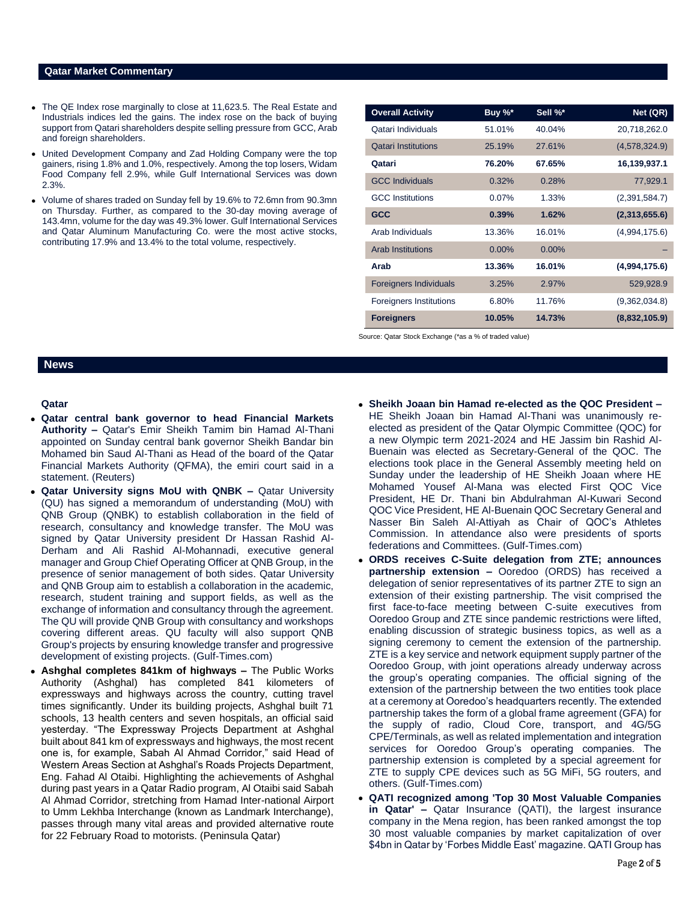## **Qatar Market Commentary**

- The QE Index rose marginally to close at 11,623.5. The Real Estate and Industrials indices led the gains. The index rose on the back of buying support from Qatari shareholders despite selling pressure from GCC, Arab and foreign shareholders.
- United Development Company and Zad Holding Company were the top gainers, rising 1.8% and 1.0%, respectively. Among the top losers, Widam Food Company fell 2.9%, while Gulf International Services was down 2.3%.
- Volume of shares traded on Sunday fell by 19.6% to 72.6mn from 90.3mn on Thursday. Further, as compared to the 30-day moving average of 143.4mn, volume for the day was 49.3% lower. Gulf International Services and Qatar Aluminum Manufacturing Co. were the most active stocks, contributing 17.9% and 13.4% to the total volume, respectively.

| <b>Overall Activity</b>       | Buy %*   | Sell %*  | Net (QR)      |
|-------------------------------|----------|----------|---------------|
| Qatari Individuals            | 51.01%   | 40.04%   | 20,718,262.0  |
| <b>Qatari Institutions</b>    | 25.19%   | 27.61%   | (4,578,324.9) |
| Qatari                        | 76.20%   | 67.65%   | 16,139,937.1  |
| <b>GCC Individuals</b>        | 0.32%    | 0.28%    | 77,929.1      |
| <b>GCC</b> Institutions       | $0.07\%$ | 1.33%    | (2,391,584.7) |
| <b>GCC</b>                    | 0.39%    | 1.62%    | (2,313,655.6) |
| Arab Individuals              | 13.36%   | 16.01%   | (4,994,175.6) |
| <b>Arab Institutions</b>      | $0.00\%$ | $0.00\%$ |               |
| Arab                          | 13.36%   | 16.01%   | (4,994,175.6) |
| <b>Foreigners Individuals</b> | 3.25%    | 2.97%    | 529,928.9     |
| Foreigners Institutions       | 6.80%    | 11.76%   | (9,362,034.8) |
| <b>Foreigners</b>             | 10.05%   | 14.73%   | (8,832,105.9) |

Source: Qatar Stock Exchange (\*as a % of traded value)

# **News**

### **Qatar**

- **Qatar central bank governor to head Financial Markets Authority –** Qatar's Emir Sheikh Tamim bin Hamad Al-Thani appointed on Sunday central bank governor Sheikh Bandar bin Mohamed bin Saud Al-Thani as Head of the board of the Qatar Financial Markets Authority (QFMA), the emiri court said in a statement. (Reuters)
- **Qatar University signs MoU with QNBK –** Qatar University (QU) has signed a memorandum of understanding (MoU) with QNB Group (QNBK) to establish collaboration in the field of research, consultancy and knowledge transfer. The MoU was signed by Qatar University president Dr Hassan Rashid Al-Derham and Ali Rashid Al-Mohannadi, executive general manager and Group Chief Operating Officer at QNB Group, in the presence of senior management of both sides. Qatar University and QNB Group aim to establish a collaboration in the academic, research, student training and support fields, as well as the exchange of information and consultancy through the agreement. The QU will provide QNB Group with consultancy and workshops covering different areas. QU faculty will also support QNB Group's projects by ensuring knowledge transfer and progressive development of existing projects. (Gulf-Times.com)
- **Ashghal completes 841km of highways –** The Public Works Authority (Ashghal) has completed 841 kilometers of expressways and highways across the country, cutting travel times significantly. Under its building projects, Ashghal built 71 schools, 13 health centers and seven hospitals, an official said yesterday. "The Expressway Projects Department at Ashghal built about 841 km of expressways and highways, the most recent one is, for example, Sabah Al Ahmad Corridor," said Head of Western Areas Section at Ashghal's Roads Projects Department, Eng. Fahad Al Otaibi. Highlighting the achievements of Ashghal during past years in a Qatar Radio program, Al Otaibi said Sabah Al Ahmad Corridor, stretching from Hamad Inter-national Airport to Umm Lekhba Interchange (known as Landmark Interchange), passes through many vital areas and provided alternative route for 22 February Road to motorists. (Peninsula Qatar)
- **Sheikh Joaan bin Hamad re-elected as the QOC President –** HE Sheikh Joaan bin Hamad Al-Thani was unanimously reelected as president of the Qatar Olympic Committee (QOC) for a new Olympic term 2021-2024 and HE Jassim bin Rashid Al-Buenain was elected as Secretary-General of the QOC. The elections took place in the General Assembly meeting held on Sunday under the leadership of HE Sheikh Joaan where HE Mohamed Yousef Al-Mana was elected First QOC Vice President, HE Dr. Thani bin Abdulrahman Al-Kuwari Second QOC Vice President, HE Al-Buenain QOC Secretary General and Nasser Bin Saleh Al-Attiyah as Chair of QOC's Athletes Commission. In attendance also were presidents of sports federations and Committees. (Gulf-Times.com)
- **ORDS receives C-Suite delegation from ZTE; announces partnership extension –** Ooredoo (ORDS) has received a delegation of senior representatives of its partner ZTE to sign an extension of their existing partnership. The visit comprised the first face-to-face meeting between C-suite executives from Ooredoo Group and ZTE since pandemic restrictions were lifted, enabling discussion of strategic business topics, as well as a signing ceremony to cement the extension of the partnership. ZTE is a key service and network equipment supply partner of the Ooredoo Group, with joint operations already underway across the group's operating companies. The official signing of the extension of the partnership between the two entities took place at a ceremony at Ooredoo's headquarters recently. The extended partnership takes the form of a global frame agreement (GFA) for the supply of radio, Cloud Core, transport, and 4G/5G CPE/Terminals, as well as related implementation and integration services for Ooredoo Group's operating companies. The partnership extension is completed by a special agreement for ZTE to supply CPE devices such as 5G MiFi, 5G routers, and others. (Gulf-Times.com)
- **QATI recognized among 'Top 30 Most Valuable Companies in Qatar' –** Qatar Insurance (QATI), the largest insurance company in the Mena region, has been ranked amongst the top 30 most valuable companies by market capitalization of over \$4bn in Qatar by 'Forbes Middle East' magazine. QATI Group has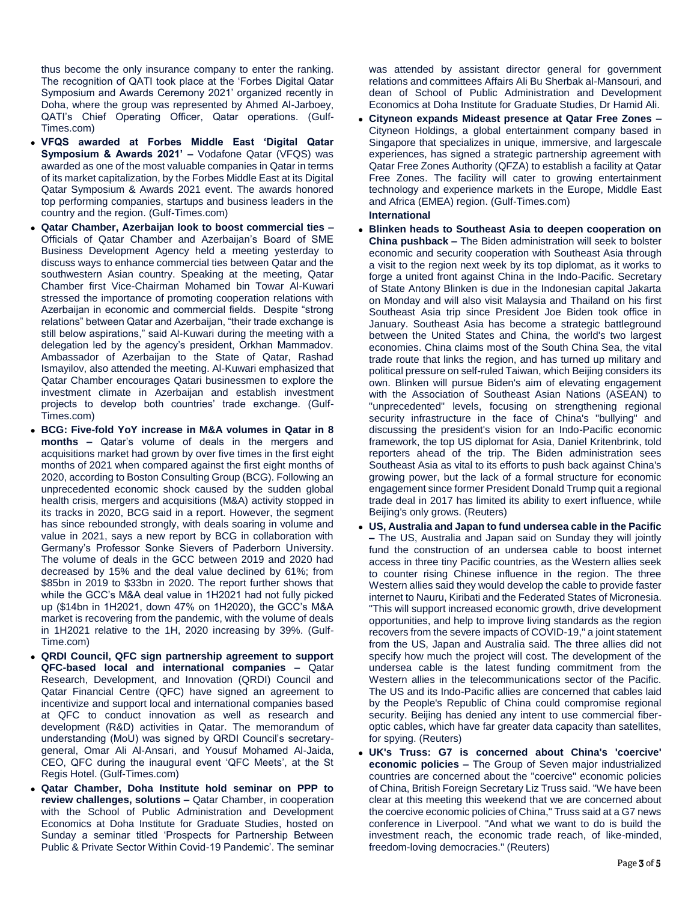thus become the only insurance company to enter the ranking. The recognition of QATI took place at the 'Forbes Digital Qatar Symposium and Awards Ceremony 2021' organized recently in Doha, where the group was represented by Ahmed Al-Jarboey, QATI's Chief Operating Officer, Qatar operations. (Gulf-Times.com)

- **VFQS awarded at Forbes Middle East 'Digital Qatar Symposium & Awards 2021' –** Vodafone Qatar (VFQS) was awarded as one of the most valuable companies in Qatar in terms of its market capitalization, by the Forbes Middle East at its Digital Qatar Symposium & Awards 2021 event. The awards honored top performing companies, startups and business leaders in the country and the region. (Gulf-Times.com)
- **Qatar Chamber, Azerbaijan look to boost commercial ties –** Officials of Qatar Chamber and Azerbaijan's Board of SME Business Development Agency held a meeting yesterday to discuss ways to enhance commercial ties between Qatar and the southwestern Asian country. Speaking at the meeting, Qatar Chamber first Vice-Chairman Mohamed bin Towar Al-Kuwari stressed the importance of promoting cooperation relations with Azerbaijan in economic and commercial fields. Despite "strong relations" between Qatar and Azerbaijan, "their trade exchange is still below aspirations," said Al-Kuwari during the meeting with a delegation led by the agency's president, Orkhan Mammadov. Ambassador of Azerbaijan to the State of Qatar, Rashad Ismayilov, also attended the meeting. Al-Kuwari emphasized that Qatar Chamber encourages Qatari businessmen to explore the investment climate in Azerbaijan and establish investment projects to develop both countries' trade exchange. (Gulf-Times.com)
- **BCG: Five-fold YoY increase in M&A volumes in Qatar in 8 months –** Qatar's volume of deals in the mergers and acquisitions market had grown by over five times in the first eight months of 2021 when compared against the first eight months of 2020, according to Boston Consulting Group (BCG). Following an unprecedented economic shock caused by the sudden global health crisis, mergers and acquisitions (M&A) activity stopped in its tracks in 2020, BCG said in a report. However, the segment has since rebounded strongly, with deals soaring in volume and value in 2021, says a new report by BCG in collaboration with Germany's Professor Sonke Sievers of Paderborn University. The volume of deals in the GCC between 2019 and 2020 had decreased by 15% and the deal value declined by 61%; from \$85bn in 2019 to \$33bn in 2020. The report further shows that while the GCC's M&A deal value in 1H2021 had not fully picked up (\$14bn in 1H2021, down 47% on 1H2020), the GCC's M&A market is recovering from the pandemic, with the volume of deals in 1H2021 relative to the 1H, 2020 increasing by 39%. (Gulf-Time.com)
- **QRDI Council, QFC sign partnership agreement to support QFC-based local and international companies –** Qatar Research, Development, and Innovation (QRDI) Council and Qatar Financial Centre (QFC) have signed an agreement to incentivize and support local and international companies based at QFC to conduct innovation as well as research and development (R&D) activities in Qatar. The memorandum of understanding (MoU) was signed by QRDI Council's secretarygeneral, Omar Ali Al-Ansari, and Yousuf Mohamed Al-Jaida, CEO, QFC during the inaugural event 'QFC Meets', at the St Regis Hotel. (Gulf-Times.com)
- **Qatar Chamber, Doha Institute hold seminar on PPP to review challenges, solutions –** Qatar Chamber, in cooperation with the School of Public Administration and Development Economics at Doha Institute for Graduate Studies, hosted on Sunday a seminar titled 'Prospects for Partnership Between Public & Private Sector Within Covid-19 Pandemic'. The seminar

was attended by assistant director general for government relations and committees Affairs Ali Bu Sherbak al-Mansouri, and dean of School of Public Administration and Development Economics at Doha Institute for Graduate Studies, Dr Hamid Ali.

 **Cityneon expands Mideast presence at Qatar Free Zones –** Cityneon Holdings, a global entertainment company based in Singapore that specializes in unique, immersive, and largescale experiences, has signed a strategic partnership agreement with Qatar Free Zones Authority (QFZA) to establish a facility at Qatar Free Zones. The facility will cater to growing entertainment technology and experience markets in the Europe, Middle East and Africa (EMEA) region. (Gulf-Times.com)

### **International**

- **Blinken heads to Southeast Asia to deepen cooperation on China pushback –** The Biden administration will seek to bolster economic and security cooperation with Southeast Asia through a visit to the region next week by its top diplomat, as it works to forge a united front against China in the Indo-Pacific. Secretary of State Antony Blinken is due in the Indonesian capital Jakarta on Monday and will also visit Malaysia and Thailand on his first Southeast Asia trip since President Joe Biden took office in January. Southeast Asia has become a strategic battleground between the United States and China, the world's two largest economies. China claims most of the South China Sea, the vital trade route that links the region, and has turned up military and political pressure on self-ruled Taiwan, which Beijing considers its own. Blinken will pursue Biden's aim of elevating engagement with the Association of Southeast Asian Nations (ASEAN) to "unprecedented" levels, focusing on strengthening regional security infrastructure in the face of China's "bullying" and discussing the president's vision for an Indo-Pacific economic framework, the top US diplomat for Asia, Daniel Kritenbrink, told reporters ahead of the trip. The Biden administration sees Southeast Asia as vital to its efforts to push back against China's growing power, but the lack of a formal structure for economic engagement since former President Donald Trump quit a regional trade deal in 2017 has limited its ability to exert influence, while Beijing's only grows. (Reuters)
- **US, Australia and Japan to fund undersea cable in the Pacific –** The US, Australia and Japan said on Sunday they will jointly fund the construction of an undersea cable to boost internet access in three tiny Pacific countries, as the Western allies seek to counter rising Chinese influence in the region. The three Western allies said they would develop the cable to provide faster internet to Nauru, Kiribati and the Federated States of Micronesia. "This will support increased economic growth, drive development opportunities, and help to improve living standards as the region recovers from the severe impacts of COVID-19," a joint statement from the US, Japan and Australia said. The three allies did not specify how much the project will cost. The development of the undersea cable is the latest funding commitment from the Western allies in the telecommunications sector of the Pacific. The US and its Indo-Pacific allies are concerned that cables laid by the People's Republic of China could compromise regional security. Beijing has denied any intent to use commercial fiberoptic cables, which have far greater data capacity than satellites, for spying. (Reuters)
- **UK's Truss: G7 is concerned about China's 'coercive' economic policies –** The Group of Seven major industrialized countries are concerned about the "coercive" economic policies of China, British Foreign Secretary Liz Truss said. "We have been clear at this meeting this weekend that we are concerned about the coercive economic policies of China," Truss said at a G7 news conference in Liverpool. "And what we want to do is build the investment reach, the economic trade reach, of like-minded, freedom-loving democracies." (Reuters)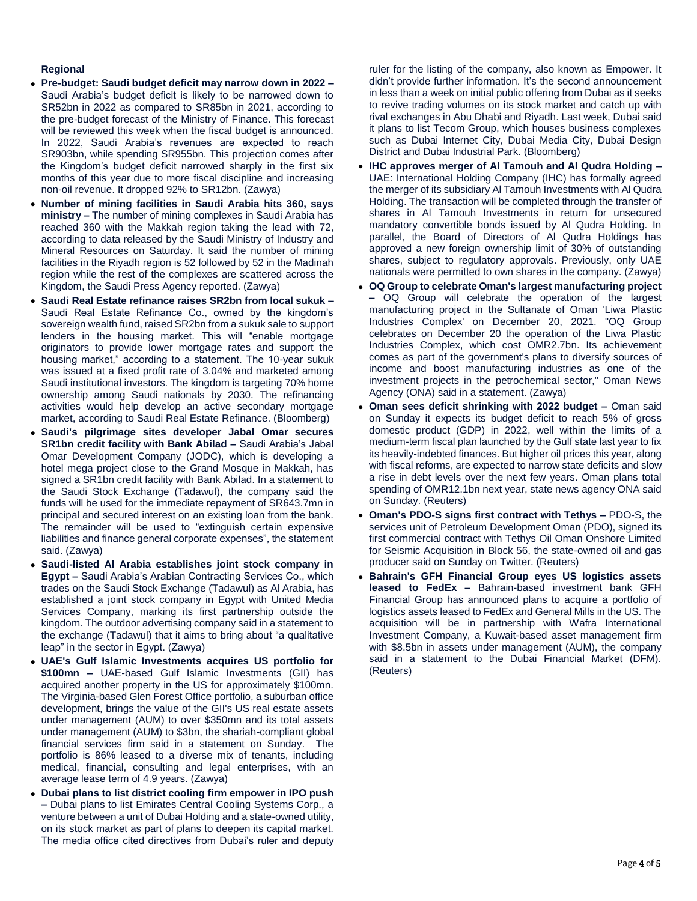# **Regional**

- **Pre-budget: Saudi budget deficit may narrow down in 2022 –** Saudi Arabia's budget deficit is likely to be narrowed down to SR52bn in 2022 as compared to SR85bn in 2021, according to the pre-budget forecast of the Ministry of Finance. This forecast will be reviewed this week when the fiscal budget is announced. In 2022, Saudi Arabia's revenues are expected to reach SR903bn, while spending SR955bn. This projection comes after the Kingdom's budget deficit narrowed sharply in the first six months of this year due to more fiscal discipline and increasing non-oil revenue. It dropped 92% to SR12bn. (Zawya)
- **Number of mining facilities in Saudi Arabia hits 360, says ministry –** The number of mining complexes in Saudi Arabia has reached 360 with the Makkah region taking the lead with 72, according to data released by the Saudi Ministry of Industry and Mineral Resources on Saturday. It said the number of mining facilities in the Riyadh region is 52 followed by 52 in the Madinah region while the rest of the complexes are scattered across the Kingdom, the Saudi Press Agency reported. (Zawya)
- **Saudi Real Estate refinance raises SR2bn from local sukuk –** Saudi Real Estate Refinance Co., owned by the kingdom's sovereign wealth fund, raised SR2bn from a sukuk sale to support lenders in the housing market. This will "enable mortgage originators to provide lower mortgage rates and support the housing market," according to a statement. The 10-year sukuk was issued at a fixed profit rate of 3.04% and marketed among Saudi institutional investors. The kingdom is targeting 70% home ownership among Saudi nationals by 2030. The refinancing activities would help develop an active secondary mortgage market, according to Saudi Real Estate Refinance. (Bloomberg)
- **Saudi's pilgrimage sites developer Jabal Omar secures SR1bn credit facility with Bank Abilad –** Saudi Arabia's Jabal Omar Development Company (JODC), which is developing a hotel mega project close to the Grand Mosque in Makkah, has signed a SR1bn credit facility with Bank Abilad. In a statement to the Saudi Stock Exchange (Tadawul), the company said the funds will be used for the immediate repayment of SR643.7mn in principal and secured interest on an existing loan from the bank. The remainder will be used to "extinguish certain expensive liabilities and finance general corporate expenses", the statement said. (Zawya)
- **Saudi-listed Al Arabia establishes joint stock company in Egypt –** Saudi Arabia's Arabian Contracting Services Co., which trades on the Saudi Stock Exchange (Tadawul) as Al Arabia, has established a joint stock company in Egypt with United Media Services Company, marking its first partnership outside the kingdom. The outdoor advertising company said in a statement to the exchange (Tadawul) that it aims to bring about "a qualitative leap" in the sector in Egypt. (Zawya)
- **UAE's Gulf Islamic Investments acquires US portfolio for \$100mn –** UAE-based Gulf Islamic Investments (GII) has acquired another property in the US for approximately \$100mn. The Virginia-based Glen Forest Office portfolio, a suburban office development, brings the value of the GII's US real estate assets under management (AUM) to over \$350mn and its total assets under management (AUM) to \$3bn, the shariah-compliant global financial services firm said in a statement on Sunday. The portfolio is 86% leased to a diverse mix of tenants, including medical, financial, consulting and legal enterprises, with an average lease term of 4.9 years. (Zawya)
- **Dubai plans to list district cooling firm empower in IPO push –** Dubai plans to list Emirates Central Cooling Systems Corp., a venture between a unit of Dubai Holding and a state-owned utility, on its stock market as part of plans to deepen its capital market. The media office cited directives from Dubai's ruler and deputy

ruler for the listing of the company, also known as Empower. It didn't provide further information. It's the second announcement in less than a week on initial public offering from Dubai as it seeks to revive trading volumes on its stock market and catch up with rival exchanges in Abu Dhabi and Riyadh. Last week, Dubai said it plans to list Tecom Group, which houses business complexes such as Dubai Internet City, Dubai Media City, Dubai Design District and Dubai Industrial Park. (Bloomberg)

- **IHC approves merger of Al Tamouh and Al Qudra Holding –** UAE: International Holding Company (IHC) has formally agreed the merger of its subsidiary Al Tamouh Investments with Al Qudra Holding. The transaction will be completed through the transfer of shares in Al Tamouh Investments in return for unsecured mandatory convertible bonds issued by Al Qudra Holding. In parallel, the Board of Directors of Al Qudra Holdings has approved a new foreign ownership limit of 30% of outstanding shares, subject to regulatory approvals. Previously, only UAE nationals were permitted to own shares in the company. (Zawya)
- **OQ Group to celebrate Oman's largest manufacturing project –** OQ Group will celebrate the operation of the largest manufacturing project in the Sultanate of Oman 'Liwa Plastic Industries Complex' on December 20, 2021. "OQ Group celebrates on December 20 the operation of the Liwa Plastic Industries Complex, which cost OMR2.7bn. Its achievement comes as part of the government's plans to diversify sources of income and boost manufacturing industries as one of the investment projects in the petrochemical sector," Oman News Agency (ONA) said in a statement. (Zawya)
- **Oman sees deficit shrinking with 2022 budget –** Oman said on Sunday it expects its budget deficit to reach 5% of gross domestic product (GDP) in 2022, well within the limits of a medium-term fiscal plan launched by the Gulf state last year to fix its heavily-indebted finances. But higher oil prices this year, along with fiscal reforms, are expected to narrow state deficits and slow a rise in debt levels over the next few years. Oman plans total spending of OMR12.1bn next year, state news agency ONA said on Sunday. (Reuters)
- **Oman's PDO-S signs first contract with Tethys –** PDO-S, the services unit of Petroleum Development Oman (PDO), signed its first commercial contract with Tethys Oil Oman Onshore Limited for Seismic Acquisition in Block 56, the state-owned oil and gas producer said on Sunday on Twitter. (Reuters)
- **Bahrain's GFH Financial Group eyes US logistics assets leased to FedEx –** Bahrain-based investment bank GFH Financial Group has announced plans to acquire a portfolio of logistics assets leased to FedEx and General Mills in the US. The acquisition will be in partnership with Wafra International Investment Company, a Kuwait-based asset management firm with \$8.5bn in assets under management (AUM), the company said in a statement to the Dubai Financial Market (DFM). (Reuters)